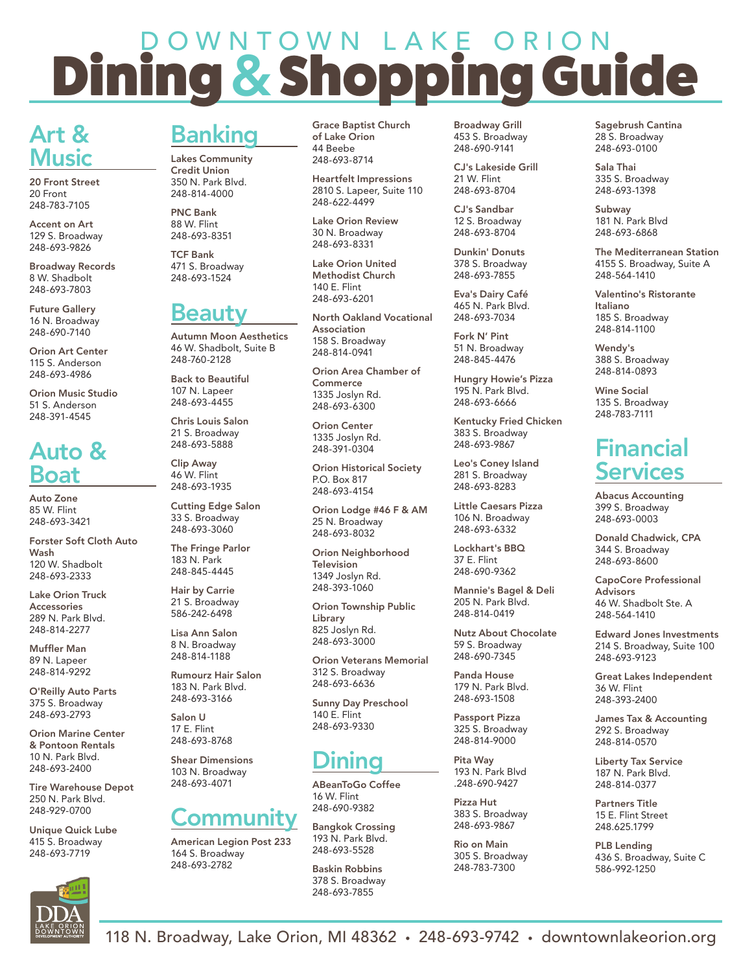# D O W N T O W N L A K E O R I O N Dining & Shopping Guide

## Art & Music

20 Front Street 20 Front 248-783-7105

Accent on Art 129 S. Broadway 248-693-9826

Broadway Records 8 W. Shadbolt 248-693-7803

Future Gallery 16 N. Broadway 248-690-7140

Orion Art Center 115 S. Anderson 248-693-4986

Orion Music Studio 51 S. Anderson 248-391-4545

### Auto & Boat

Auto Zone 85 W. Flint 248-693-3421

Forster Soft Cloth Auto Wash 120 W. Shadbolt 248-693-2333

Lake Orion Truck Accessories 289 N. Park Blvd. 248-814-2277

Muffler Man 89 N. Lapeer 248-814-9292

O'Reilly Auto Parts 375 S. Broadway 248-693-2793

Orion Marine Center & Pontoon Rentals 10 N. Park Blvd. 248-693-2400

Tire Warehouse Depot 250 N. Park Blvd. 248-929-0700

Unique Quick Lube 415 S. Broadway 248-693-7719



# Banking

Lakes Community Credit Union 350 N. Park Blvd. 248-814-4000

PNC Bank 88 W. Flint 248-693-8351

TCF Bank 471 S. Broadway 248-693-1524

### **Beaut**

Autumn Moon Aesthetics 46 W. Shadbolt, Suite B 248-760-2128

Back to Beautiful 107 N. Lapeer 248-693-4455

Chris Louis Salon 21 S. Broadway 248-693-5888

Clip Away 46 W. Flint 248-693-1935

Cutting Edge Salon 33 S. Broadway 248-693-3060

The Fringe Parlor 183 N. Park 248-845-4445

Hair by Carrie 21 S. Broadway 586-242-6498

Lisa Ann Salon 8 N. Broadway 248-814-1188

Rumourz Hair Salon 183 N. Park Blvd. 248-693-3166

Salon U 17 E. Flint 248-693-8768

Shear Dimensions 103 N. Broadway 248-693-4071

#### Communit

American Legion Post 233 164 S. Broadway 248-693-2782

Grace Baptist Church of Lake Orion 44 Beebe 248-693-8714

Heartfelt Impressions 2810 S. Lapeer, Suite 110 248-622-4499

Lake Orion Review 30 N. Broadway 248-693-8331

Lake Orion United Methodist Church 140 E. Flint 248-693-6201

North Oakland Vocational Association 158 S. Broadway 248-814-0941

Orion Area Chamber of **Commerce** 1335 Joslyn Rd. 248-693-6300

Orion Center 1335 Joslyn Rd. 248-391-0304

Orion Historical Society P.O. Box 817 248-693-4154

Orion Lodge #46 F & AM 25 N. Broadway 248-693-8032

Orion Neighborhood **Television** 1349 Joslyn Rd. 248-393-1060

Orion Township Public Library 825 Joslyn Rd. 248-693-3000

Orion Veterans Memorial 312 S. Broadway 248-693-6636

Sunny Day Preschool 140 E. Flint 248-693-9330

# Dining

ABeanToGo Coffee 16 W. Flint 248-690-9382

Bangkok Crossing 193 N. Park Blvd. 248-693-5528

Baskin Robbins 378 S. Broadway 248-693-7855

Broadway Grill 453 S. Broadway 248-690-9141

CJ's Lakeside Grill 21 W. Flint 248-693-8704

CJ's Sandbar 12 S. Broadway 248-693-8704

Dunkin' Donuts 378 S. Broadway 248-693-7855

Eva's Dairy Café 465 N. Park Blvd. 248-693-7034

Fork N' Pint 51 N. Broadway 248-845-4476

Hungry Howie's Pizza 195 N. Park Blvd. 248-693-6666

Kentucky Fried Chicken 383 S. Broadway 248-693-9867

Leo's Coney Island 281 S. Broadway 248-693-8283

Little Caesars Pizza 106 N. Broadway 248-693-6332

Lockhart's BBQ 37 E. Flint 248-690-9362

Mannie's Bagel & Deli 205 N. Park Blvd. 248-814-0419

Nutz About Chocolate 59 S. Broadway 248-690-7345

Panda House 179 N. Park Blvd. 248-693-1508

Passport Pizza 325 S. Broadway 248-814-9000

Pita Way 193 N. Park Blvd .248-690-9427

Pizza Hut 383 S. Broadway 248-693-9867

Rio on Main 305 S. Broadway 248-783-7300

Sagebrush Cantina 28 S. Broadway 248-693-0100

Sala Thai 335 S. Broadway 248-693-1398

Subway 181 N. Park Blvd 248-693-6868

The Mediterranean Station 4155 S. Broadway, Suite A 248-564-1410

Valentino's Ristorante Italiano 185 S. Broadway 248-814-1100

Wendy's 388 S. Broadway 248-814-0893

Wine Social 135 S. Broadway 248-783-7111

### Financial Services

Abacus Accounting 399 S. Broadway 248-693-0003

Donald Chadwick, CPA 344 S. Broadway 248-693-8600

CapoCore Professional **Advisors** 46 W. Shadbolt Ste. A 248-564-1410

Edward Jones Investments 214 S. Broadway, Suite 100 248-693-9123

Great Lakes Independent 36 W. Flint 248-393-2400

James Tax & Accounting 292 S. Broadway 248-814-0570

Liberty Tax Service 187 N. Park Blvd. 248-814-0377

Partners Title 15 E. Flint Street 248.625.1799

PLB Lending 436 S. Broadway, Suite C 586-992-1250